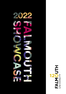

## **TALMOUTH**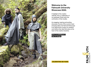

## **Welcome to the Falmouth University Showcase 2022.**

A highlight of the creative calendar, this is a celebration of our graduates' finest work; the culmination of their studies.

An engaging, inspiring and exciting showcase of some of the country's best emerging talent, the Falmouth Showcase is an opportunity to enjoy our students' work before they take their place at the heart of the creative industries.

**Entry to exhibitions is free of charge.**

**TALMOUTH** 

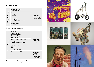## **Show Listings**

| Campus<br>Falmouth | <b>Creative Advertising</b><br>Graphic Design                        |
|--------------------|----------------------------------------------------------------------|
|                    | Drawing<br>Fine Art<br>Illustration                                  |
|                    | Architecture<br><b>Interior Design</b><br>Sustainable Product Design |
|                    | <b>Creative Writing</b><br>Journalism                                |

**Sat 21 May - Thurs 26 May** 10am - 4pm daily

Falmouth Campus Fox Cafe open daily 10am-2pm offering light refreshments.

| Penryn Campus | <b>Fashion Design</b><br><b>Fashion Marketing</b><br><b>Fashion Photography</b><br>Sportswear Design<br><b>Textile Design</b> | <b>Sat 21 May -</b><br>Thurs 26 May<br>10am - 4pm daily                 |
|---------------|-------------------------------------------------------------------------------------------------------------------------------|-------------------------------------------------------------------------|
|               | Marine & Natural History Photography<br>Photography<br>Press & Editorial Photography                                          |                                                                         |
|               | <b>Animation &amp; Visual Effects</b><br>Film<br>Television<br>MA Film & Television                                           |                                                                         |
|               | Games Academy EXPO                                                                                                            | Mon 23 May<br>3pm - 8pm<br>Tues 24 May -<br>Weds 25 May<br>$10am - 5pm$ |
|               | There are multiple food outlets across Penryn Campus<br>offering light refreshments. Opening times may vary.                  |                                                                         |









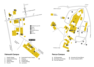



- 
- All Photography **11**
- All Fashion and Textiles **12**
- Film and Television **13**
- Animation & Visual Effects **13**
- 14 Games Academy EXPO